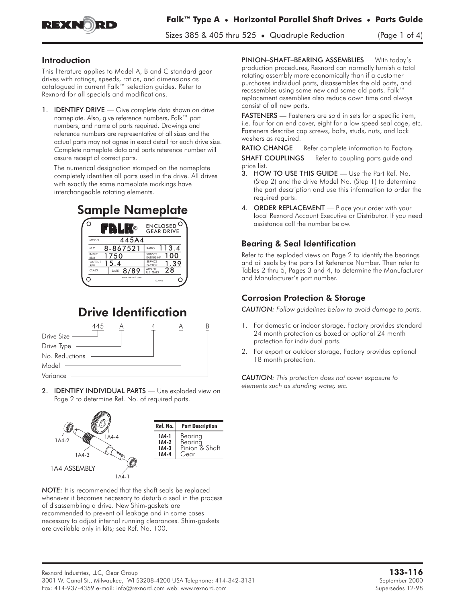

Sizes 385 & 405 thru 525 • Quadruple Reduction (Page 1 of 4)

### Introduction

This literature applies to Model A, B and C standard gear drives with ratings, speeds, ratios, and dimensions as catalogued in current Falk™ selection guides. Refer to Rexnord for all specials and modifications.

1. **IDENTIFY DRIVE** — Give complete data shown on drive nameplate. Also, give reference numbers, Falk™ part numbers, and name of parts required. Drawings and reference numbers are representative of all sizes and the actual parts may not agree in exact detail for each drive size. Complete nameplate data and parts reference number will assure receipt of correct parts.

The numerical designation stamped on the nameplate completely identifies all parts used in the drive. All drives with exactly the same nameplate markings have interchangeable rotating elements.



# Drive Identification



2. **IDENTIFY INDIVIDUAL PARTS** - Use exploded view on Page 2 to determine Ref. No. of required parts.



*NOTE:* It is recommended that the shaft seals be replaced whenever it becomes necessary to disturb a seal in the process of disassembling a drive. New Shim-gaskets are recommended to prevent oil leakage and in some cases necessary to adjust internal running clearances. Shim-gaskets are available only in kits; see Ref. No. 100.

PINION–SHAFT–BEARING ASSEMBLIES — With today's production procedures, Rexnord can normally furnish a total rotating assembly more economically than if a customer purchases individual parts, disassembles the old parts, and reassembles using some new and some old parts. Falk™ replacement assemblies also reduce down time and always consist of all new parts.

FASTENERS — Fasteners are sold in sets for a specific item, i.e. four for an end cover, eight for a low speed seal cage, etc. Fasteners describe cap screws, bolts, studs, nuts, and lock washers as required.

RATIO CHANGE - Refer complete information to Factory. SHAFT COUPLINGS - Refer to coupling parts guide and price list.

- 3. HOW TO USE THIS GUIDE Use the Part Ref. No. (Step 2) and the drive Model No. (Step 1) to determine the part description and use this information to order the required parts.
- 4. ORDER REPLACEMENT Place your order with your local Rexnord Account Executive or Distributor. If you need assistance call the number below.

# Bearing & Seal Identification

Refer to the exploded views on Page 2 to identify the bearings and oil seals by the parts list Reference Number. Then refer to Tables 2 thru 5, Pages 3 and 4, to determine the Manufacturer and Manufacturer's part number.

# Corrosion Protection & Storage

*CAUTION: Follow guidelines below to avoid damage to parts.*

- 1. For domestic or indoor storage, Factory provides standard 24 month protection as boxed or optional 24 month protection for individual parts.
- 2. For export or outdoor storage, Factory provides optional 18 month protection.

*CAUTION: This protection does not cover exposure to elements such as standing water, etc.*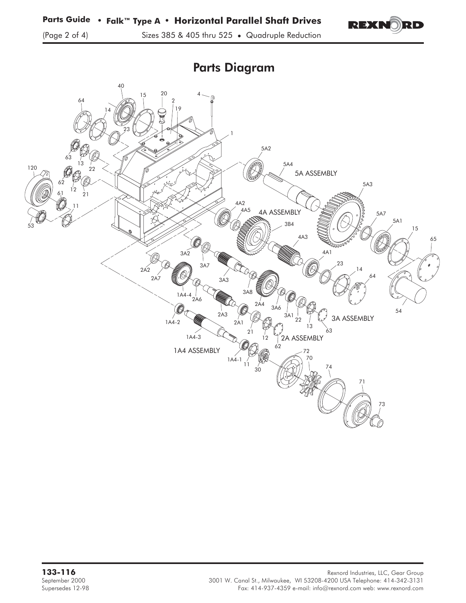

Parts Diagram

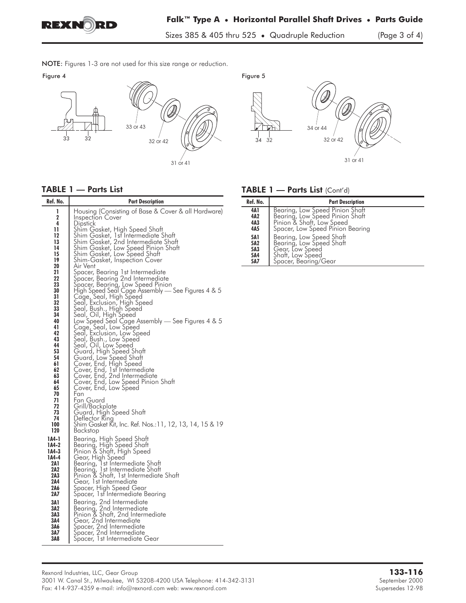

Sizes 385 & 405 thru 525 • Quadruple Reduction (Page 3 of 4)

NOTE: Figures 1-3 are not used for this size range or reduction.<br>Figure 4





#### TABLE 1 — Parts List

| Ref. No.                                                                                                                                        | <b>Part Description</b>                                                                                                                                                                                                                                                                                                                                                                                                                                                                                                                                                                                                                                                                                                                                                                                                        |
|-------------------------------------------------------------------------------------------------------------------------------------------------|--------------------------------------------------------------------------------------------------------------------------------------------------------------------------------------------------------------------------------------------------------------------------------------------------------------------------------------------------------------------------------------------------------------------------------------------------------------------------------------------------------------------------------------------------------------------------------------------------------------------------------------------------------------------------------------------------------------------------------------------------------------------------------------------------------------------------------|
| 1<br>2<br>4<br>11<br>12<br>13<br>14<br>15<br>19<br>20<br>21<br>22<br>23<br>30<br>31<br>32<br>33<br>34<br>40<br>41<br>42<br>43<br>44<br>53<br>54 | Housing (Consisting of Base & Cover & all Hardware)<br><b>Inspection Cover</b><br>Dipstick<br>Shim Gasket, High Speed Shaft<br>Shim Gasket, 1st Intermediate Shaft<br>Shim Gasket, 2nd Intermediate Shaft<br>Shim Gasket, Low Speed Pinion Shaft<br>Shim Gasket, Low Speed Shaft<br>Shim-Gasket, Inspection Cover<br>Air Vent<br>Spacer, Bearing 1st Intermediate<br>Spacer, Bearing 2nd Intermediate<br>Spacer, Bearing, Low Speed Pinion<br>High Speed Seal Cage Assembly — See Figures 4 & 5<br>Cage, Seal, High Speed<br>Seal, Exclusion, High Speed<br>Seal, Bush., High Speed<br>Seal, Oil, High Speed<br>Low Speed Seal Cage Assembly - See Figures 4 & 5<br>Cage, Seal, Low Speed<br>Seal, Exclusion, Low Speed<br>Seal, Bush., Low Speed<br>Seal, Oil, Low Speed<br>Guard, High Speed Shaft<br>Guard, Low Speed Shaft |
| 61<br>62<br>63<br>64<br>65<br>70<br>71<br>72<br>73<br>74<br>100<br>120                                                                          | Cover, End, High Speed<br>Cover, End, 1st Intermediate<br>Cover, End, 2nd Intermediate<br>Cover, End, Low Speed Pinion Shaft<br>Cover, End, Low Speed<br>Fan<br>Fan Guard<br>Grill/Backplate<br>Guard, High Speed Shaft<br>Detlector Ring<br>Shim Gasket Kit, Inc. Ref. Nos.:11, 12, 13, 14, 15 & 19<br>Backstop                                                                                                                                                                                                                                                                                                                                                                                                                                                                                                               |
| 1A4-1<br>1A4-2<br>1A4-3<br>1A4-4<br>2A 1<br>2A2<br>2A3<br>2A4<br>2A6<br>2A7<br>3A1<br>3A2<br>3A3<br>3A4<br>3A6<br>3A7<br>3A8                    | Bearing, High Speed Shaft<br>Bearing, High Speed Shaft<br>Pinion & Shaft, High Speed<br>Gear, High Speed<br>Bearing, 1st Intermediate Shaft<br>Bearing, 1st Intermediate Shaft<br>Pinion & Shaft, 1st Intermediate Shaft<br>Gear, 1st Intermediate<br>Spacer, High Speed Gear<br>Spacer, Ist Intermediate Bearing<br>Bearing, 2nd Intermediate<br>Bearing, 2nd Intermediate<br>Pinion & Shaft, 2nd Intermediate<br>Gear, 2nd Intermediate<br>Spacer, 2nd Intermediate<br>Spacer, 2nd Intermediate<br>Spacer, 1st Intermediate Gear                                                                                                                                                                                                                                                                                             |

#### TABLE 1 - Parts List (Cont'd)

| Ref. No.                                           | <b>Part Description</b>                                                                                                             |
|----------------------------------------------------|-------------------------------------------------------------------------------------------------------------------------------------|
| 4A1<br>4A <sub>2</sub><br>4A3<br>4A5               | Bearing, Low Speed Pinion Shaft<br>Bearing, Low Speed Pinion Shaft<br>Pinion & Shaft, Low Speed<br>Spacer, Low Speed Pinion Bearing |
| <b>5A1</b><br>5A <sub>2</sub><br>5A3<br>5A4<br>5A7 | Bearing, Low Speed Shaft<br>Bearing, Low Speed Shaft<br>Gear, Low Speed<br>Shatt, Low Speed<br>Spacer, Bearing/Gear                 |